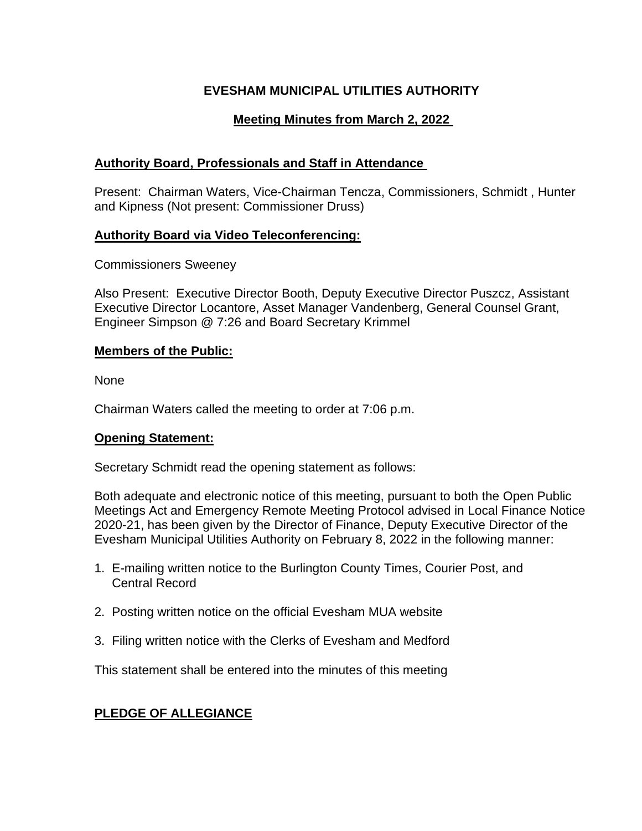# **EVESHAM MUNICIPAL UTILITIES AUTHORITY**

# **Meeting Minutes from March 2, 2022**

## **Authority Board, Professionals and Staff in Attendance**

Present: Chairman Waters, Vice-Chairman Tencza, Commissioners, Schmidt , Hunter and Kipness (Not present: Commissioner Druss)

## **Authority Board via Video Teleconferencing:**

Commissioners Sweeney

Also Present: Executive Director Booth, Deputy Executive Director Puszcz, Assistant Executive Director Locantore, Asset Manager Vandenberg, General Counsel Grant, Engineer Simpson @ 7:26 and Board Secretary Krimmel

## **Members of the Public:**

None

Chairman Waters called the meeting to order at 7:06 p.m.

## **Opening Statement:**

Secretary Schmidt read the opening statement as follows:

Both adequate and electronic notice of this meeting, pursuant to both the Open Public Meetings Act and Emergency Remote Meeting Protocol advised in Local Finance Notice 2020-21, has been given by the Director of Finance, Deputy Executive Director of the Evesham Municipal Utilities Authority on February 8, 2022 in the following manner:

- 1. E-mailing written notice to the Burlington County Times, Courier Post, and Central Record
- 2. Posting written notice on the official Evesham MUA website
- 3. Filing written notice with the Clerks of Evesham and Medford

This statement shall be entered into the minutes of this meeting

## **PLEDGE OF ALLEGIANCE**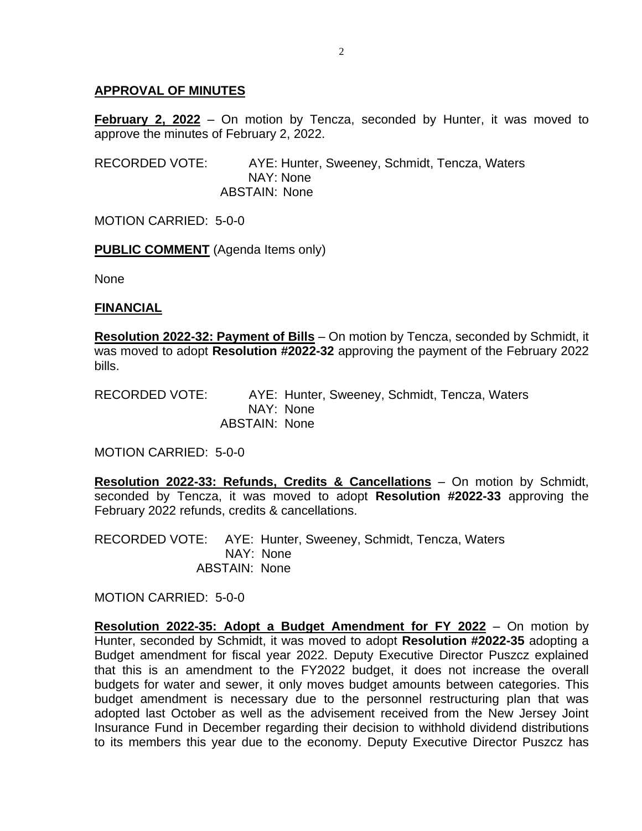## **APPROVAL OF MINUTES**

**February 2, 2022** – On motion by Tencza, seconded by Hunter, it was moved to approve the minutes of February 2, 2022.

RECORDED VOTE: AYE: Hunter, Sweeney, Schmidt, Tencza, Waters NAY: None ABSTAIN: None

MOTION CARRIED: 5-0-0

**PUBLIC COMMENT** (Agenda Items only)

None

#### **FINANCIAL**

**Resolution 2022-32: Payment of Bills** – On motion by Tencza, seconded by Schmidt, it was moved to adopt **Resolution #2022-32** approving the payment of the February 2022 bills.

RECORDED VOTE: AYE: Hunter, Sweeney, Schmidt, Tencza, Waters NAY: None ABSTAIN: None

MOTION CARRIED: 5-0-0

**Resolution 2022-33: Refunds, Credits & Cancellations** – On motion by Schmidt, seconded by Tencza, it was moved to adopt **Resolution #2022-33** approving the February 2022 refunds, credits & cancellations.

RECORDED VOTE: AYE: Hunter, Sweeney, Schmidt, Tencza, Waters NAY: None ABSTAIN: None

MOTION CARRIED: 5-0-0

**Resolution 2022-35: Adopt a Budget Amendment for FY 2022** – On motion by Hunter, seconded by Schmidt, it was moved to adopt **Resolution #2022-35** adopting a Budget amendment for fiscal year 2022. Deputy Executive Director Puszcz explained that this is an amendment to the FY2022 budget, it does not increase the overall budgets for water and sewer, it only moves budget amounts between categories. This budget amendment is necessary due to the personnel restructuring plan that was adopted last October as well as the advisement received from the New Jersey Joint Insurance Fund in December regarding their decision to withhold dividend distributions to its members this year due to the economy. Deputy Executive Director Puszcz has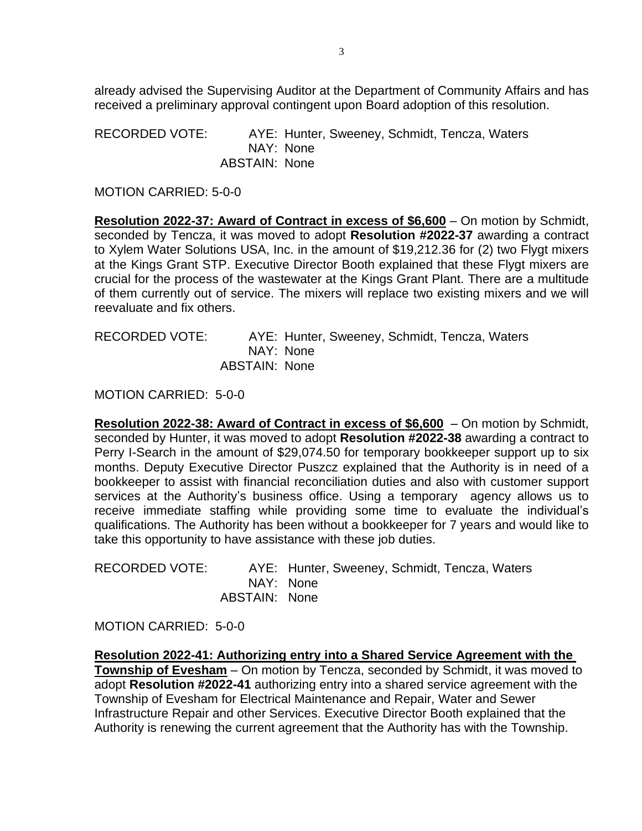already advised the Supervising Auditor at the Department of Community Affairs and has received a preliminary approval contingent upon Board adoption of this resolution.

RECORDED VOTE: AYE: Hunter, Sweeney, Schmidt, Tencza, Waters NAY: None ABSTAIN: None

MOTION CARRIED: 5-0-0

**Resolution 2022-37: Award of Contract in excess of \$6,600** – On motion by Schmidt, seconded by Tencza, it was moved to adopt **Resolution #2022-37** awarding a contract to Xylem Water Solutions USA, Inc. in the amount of \$19,212.36 for (2) two Flygt mixers at the Kings Grant STP. Executive Director Booth explained that these Flygt mixers are crucial for the process of the wastewater at the Kings Grant Plant. There are a multitude of them currently out of service. The mixers will replace two existing mixers and we will reevaluate and fix others.

RECORDED VOTE: AYE: Hunter, Sweeney, Schmidt, Tencza, Waters NAY: None ABSTAIN: None

MOTION CARRIED: 5-0-0

**Resolution 2022-38: Award of Contract in excess of \$6,600** – On motion by Schmidt, seconded by Hunter, it was moved to adopt **Resolution #2022-38** awarding a contract to Perry I-Search in the amount of \$29,074.50 for temporary bookkeeper support up to six months. Deputy Executive Director Puszcz explained that the Authority is in need of a bookkeeper to assist with financial reconciliation duties and also with customer support services at the Authority's business office. Using a temporary agency allows us to receive immediate staffing while providing some time to evaluate the individual's qualifications. The Authority has been without a bookkeeper for 7 years and would like to take this opportunity to have assistance with these job duties.

| RECORDED VOTE: |               | AYE: Hunter, Sweeney, Schmidt, Tencza, Waters |
|----------------|---------------|-----------------------------------------------|
|                |               | NAY: None                                     |
|                | ABSTAIN: None |                                               |

MOTION CARRIED: 5-0-0

**Resolution 2022-41: Authorizing entry into a Shared Service Agreement with the** 

**Township of Evesham** – On motion by Tencza, seconded by Schmidt, it was moved to adopt **Resolution #2022-41** authorizing entry into a shared service agreement with the Township of Evesham for Electrical Maintenance and Repair, Water and Sewer Infrastructure Repair and other Services. Executive Director Booth explained that the Authority is renewing the current agreement that the Authority has with the Township.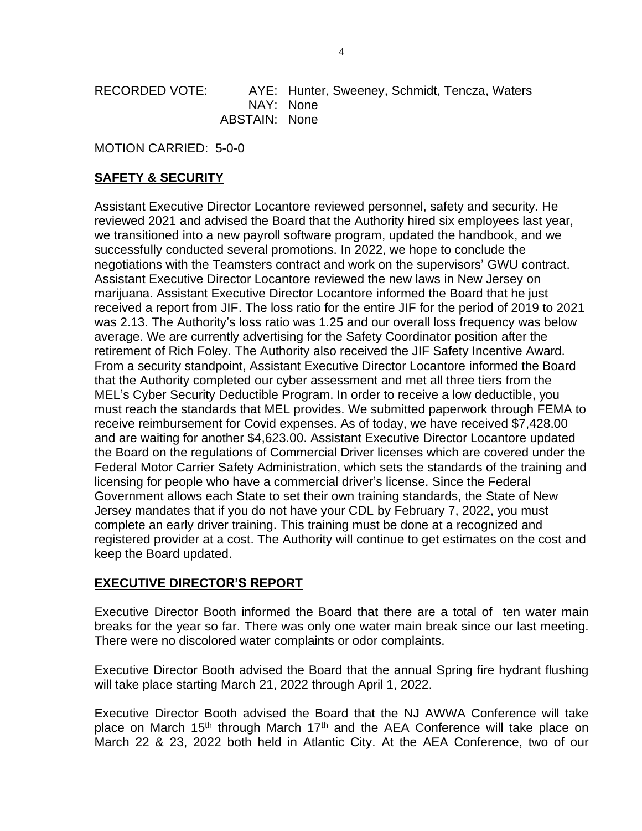RECORDED VOTE: AYE: Hunter, Sweeney, Schmidt, Tencza, Waters NAY: None ABSTAIN: None

MOTION CARRIED: 5-0-0

## **SAFETY & SECURITY**

Assistant Executive Director Locantore reviewed personnel, safety and security. He reviewed 2021 and advised the Board that the Authority hired six employees last year, we transitioned into a new payroll software program, updated the handbook, and we successfully conducted several promotions. In 2022, we hope to conclude the negotiations with the Teamsters contract and work on the supervisors' GWU contract. Assistant Executive Director Locantore reviewed the new laws in New Jersey on marijuana. Assistant Executive Director Locantore informed the Board that he just received a report from JIF. The loss ratio for the entire JIF for the period of 2019 to 2021 was 2.13. The Authority's loss ratio was 1.25 and our overall loss frequency was below average. We are currently advertising for the Safety Coordinator position after the retirement of Rich Foley. The Authority also received the JIF Safety Incentive Award. From a security standpoint, Assistant Executive Director Locantore informed the Board that the Authority completed our cyber assessment and met all three tiers from the MEL's Cyber Security Deductible Program. In order to receive a low deductible, you must reach the standards that MEL provides. We submitted paperwork through FEMA to receive reimbursement for Covid expenses. As of today, we have received \$7,428.00 and are waiting for another \$4,623.00. Assistant Executive Director Locantore updated the Board on the regulations of Commercial Driver licenses which are covered under the Federal Motor Carrier Safety Administration, which sets the standards of the training and licensing for people who have a commercial driver's license. Since the Federal Government allows each State to set their own training standards, the State of New Jersey mandates that if you do not have your CDL by February 7, 2022, you must complete an early driver training. This training must be done at a recognized and registered provider at a cost. The Authority will continue to get estimates on the cost and keep the Board updated.

## **EXECUTIVE DIRECTOR'S REPORT**

Executive Director Booth informed the Board that there are a total of ten water main breaks for the year so far. There was only one water main break since our last meeting. There were no discolored water complaints or odor complaints.

Executive Director Booth advised the Board that the annual Spring fire hydrant flushing will take place starting March 21, 2022 through April 1, 2022.

Executive Director Booth advised the Board that the NJ AWWA Conference will take place on March 15<sup>th</sup> through March 17<sup>th</sup> and the AEA Conference will take place on March 22 & 23, 2022 both held in Atlantic City. At the AEA Conference, two of our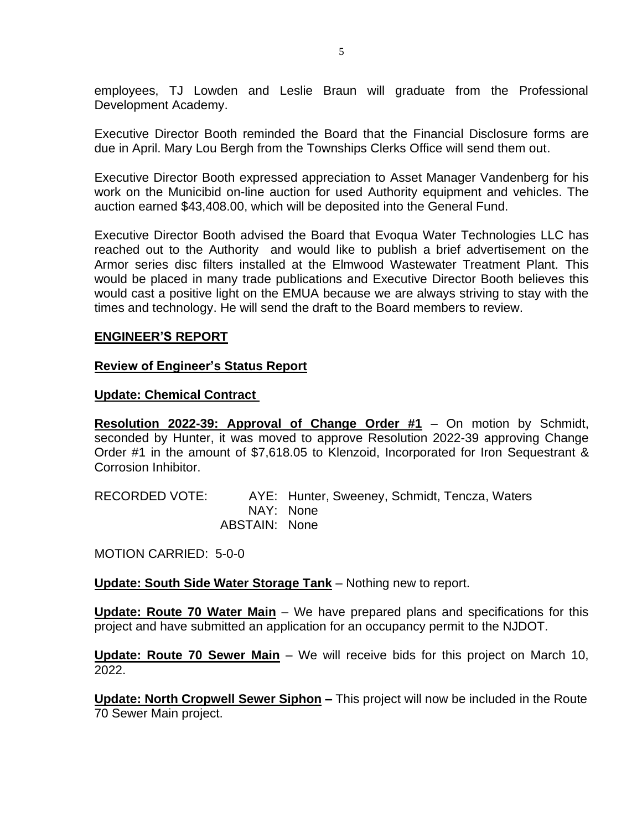employees, TJ Lowden and Leslie Braun will graduate from the Professional Development Academy.

Executive Director Booth reminded the Board that the Financial Disclosure forms are due in April. Mary Lou Bergh from the Townships Clerks Office will send them out.

Executive Director Booth expressed appreciation to Asset Manager Vandenberg for his work on the Municibid on-line auction for used Authority equipment and vehicles. The auction earned \$43,408.00, which will be deposited into the General Fund.

Executive Director Booth advised the Board that Evoqua Water Technologies LLC has reached out to the Authority and would like to publish a brief advertisement on the Armor series disc filters installed at the Elmwood Wastewater Treatment Plant. This would be placed in many trade publications and Executive Director Booth believes this would cast a positive light on the EMUA because we are always striving to stay with the times and technology. He will send the draft to the Board members to review.

### **ENGINEER'S REPORT**

#### **Review of Engineer's Status Report**

#### **Update: Chemical Contract**

**Resolution 2022-39: Approval of Change Order #1** – On motion by Schmidt, seconded by Hunter, it was moved to approve Resolution 2022-39 approving Change Order #1 in the amount of \$7,618.05 to Klenzoid, Incorporated for Iron Sequestrant & Corrosion Inhibitor.

RECORDED VOTE: AYE: Hunter, Sweeney, Schmidt, Tencza, Waters NAY: None ABSTAIN: None

MOTION CARRIED: 5-0-0

**Update: South Side Water Storage Tank** – Nothing new to report.

**Update: Route 70 Water Main** – We have prepared plans and specifications for this project and have submitted an application for an occupancy permit to the NJDOT.

**Update: Route 70 Sewer Main** – We will receive bids for this project on March 10, 2022.

**Update: North Cropwell Sewer Siphon –** This project will now be included in the Route 70 Sewer Main project.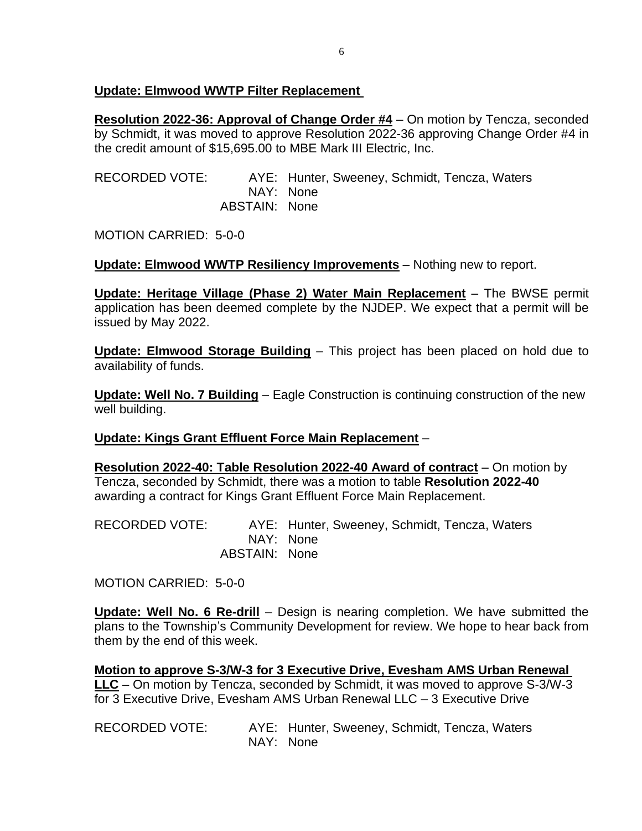## **Update: Elmwood WWTP Filter Replacement**

**Resolution 2022-36: Approval of Change Order #4** – On motion by Tencza, seconded by Schmidt, it was moved to approve Resolution 2022-36 approving Change Order #4 in the credit amount of \$15,695.00 to MBE Mark III Electric, Inc.

RECORDED VOTE: AYE: Hunter, Sweeney, Schmidt, Tencza, Waters NAY: None ABSTAIN: None

MOTION CARRIED: 5-0-0

**Update: Elmwood WWTP Resiliency Improvements** – Nothing new to report.

**Update: Heritage Village (Phase 2) Water Main Replacement** – The BWSE permit application has been deemed complete by the NJDEP. We expect that a permit will be issued by May 2022.

**Update: Elmwood Storage Building** – This project has been placed on hold due to availability of funds.

**Update: Well No. 7 Building** – Eagle Construction is continuing construction of the new well building.

## **Update: Kings Grant Effluent Force Main Replacement** –

**Resolution 2022-40: Table Resolution 2022-40 Award of contract** – On motion by Tencza, seconded by Schmidt, there was a motion to table **Resolution 2022-40**  awarding a contract for Kings Grant Effluent Force Main Replacement.

RECORDED VOTE: AYE: Hunter, Sweeney, Schmidt, Tencza, Waters NAY: None ABSTAIN: None

MOTION CARRIED: 5-0-0

**Update: Well No. 6 Re-drill** – Design is nearing completion. We have submitted the plans to the Township's Community Development for review. We hope to hear back from them by the end of this week.

**Motion to approve S-3/W-3 for 3 Executive Drive, Evesham AMS Urban Renewal LLC** – On motion by Tencza, seconded by Schmidt, it was moved to approve S-3/W-3 for 3 Executive Drive, Evesham AMS Urban Renewal LLC – 3 Executive Drive

RECORDED VOTE: AYE: Hunter, Sweeney, Schmidt, Tencza, Waters NAY: None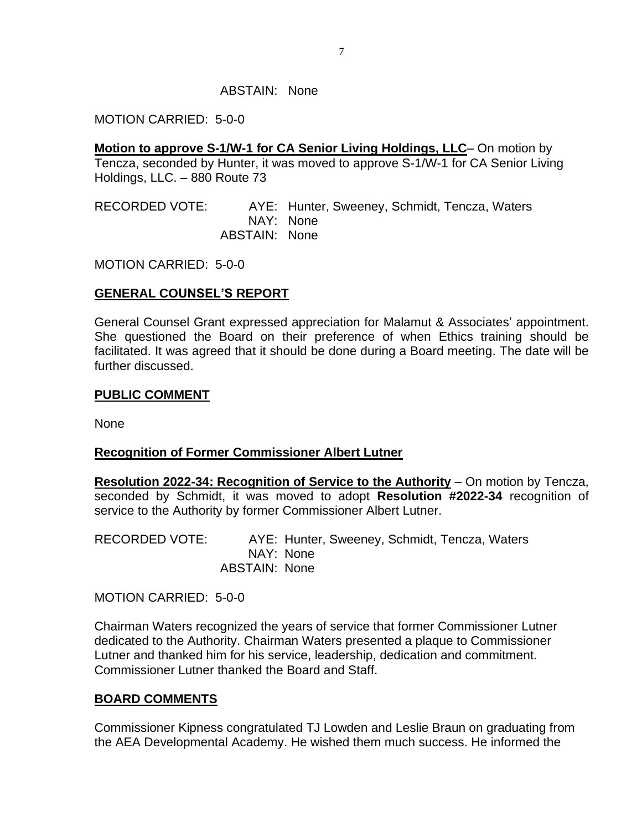#### ABSTAIN: None

#### MOTION CARRIED: 5-0-0

**Motion to approve S-1/W-1 for CA Senior Living Holdings, LLC**– On motion by Tencza, seconded by Hunter, it was moved to approve S-1/W-1 for CA Senior Living Holdings, LLC. – 880 Route 73

RECORDED VOTE: AYE: Hunter, Sweeney, Schmidt, Tencza, Waters NAY: None ABSTAIN: None

MOTION CARRIED: 5-0-0

## **GENERAL COUNSEL'S REPORT**

General Counsel Grant expressed appreciation for Malamut & Associates' appointment. She questioned the Board on their preference of when Ethics training should be facilitated. It was agreed that it should be done during a Board meeting. The date will be further discussed.

### **PUBLIC COMMENT**

None

## **Recognition of Former Commissioner Albert Lutner**

**Resolution 2022-34: Recognition of Service to the Authority** – On motion by Tencza, seconded by Schmidt, it was moved to adopt **Resolution #2022-34** recognition of service to the Authority by former Commissioner Albert Lutner.

RECORDED VOTE: AYE: Hunter, Sweeney, Schmidt, Tencza, Waters NAY: None ABSTAIN: None

MOTION CARRIED: 5-0-0

Chairman Waters recognized the years of service that former Commissioner Lutner dedicated to the Authority. Chairman Waters presented a plaque to Commissioner Lutner and thanked him for his service, leadership, dedication and commitment. Commissioner Lutner thanked the Board and Staff.

## **BOARD COMMENTS**

Commissioner Kipness congratulated TJ Lowden and Leslie Braun on graduating from the AEA Developmental Academy. He wished them much success. He informed the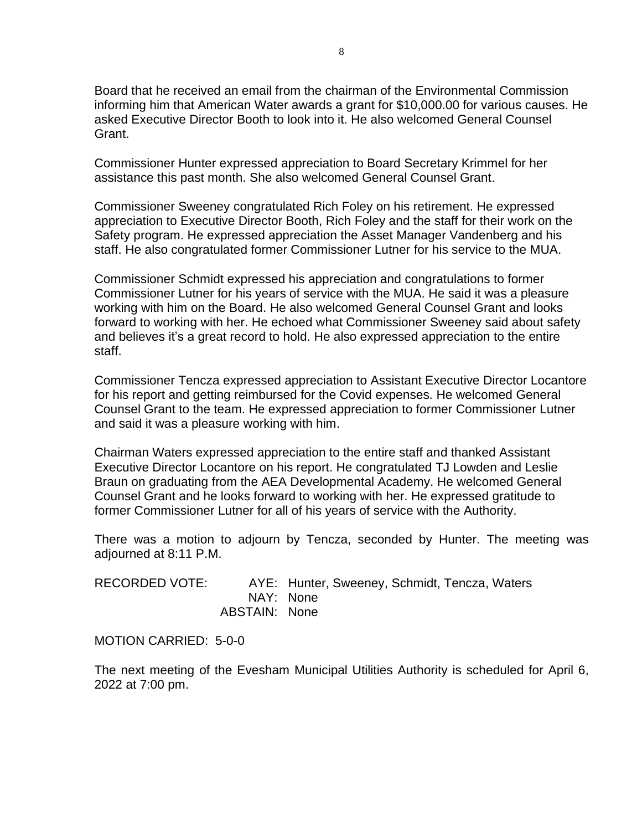Board that he received an email from the chairman of the Environmental Commission informing him that American Water awards a grant for \$10,000.00 for various causes. He asked Executive Director Booth to look into it. He also welcomed General Counsel Grant.

Commissioner Hunter expressed appreciation to Board Secretary Krimmel for her assistance this past month. She also welcomed General Counsel Grant.

Commissioner Sweeney congratulated Rich Foley on his retirement. He expressed appreciation to Executive Director Booth, Rich Foley and the staff for their work on the Safety program. He expressed appreciation the Asset Manager Vandenberg and his staff. He also congratulated former Commissioner Lutner for his service to the MUA.

Commissioner Schmidt expressed his appreciation and congratulations to former Commissioner Lutner for his years of service with the MUA. He said it was a pleasure working with him on the Board. He also welcomed General Counsel Grant and looks forward to working with her. He echoed what Commissioner Sweeney said about safety and believes it's a great record to hold. He also expressed appreciation to the entire staff.

Commissioner Tencza expressed appreciation to Assistant Executive Director Locantore for his report and getting reimbursed for the Covid expenses. He welcomed General Counsel Grant to the team. He expressed appreciation to former Commissioner Lutner and said it was a pleasure working with him.

Chairman Waters expressed appreciation to the entire staff and thanked Assistant Executive Director Locantore on his report. He congratulated TJ Lowden and Leslie Braun on graduating from the AEA Developmental Academy. He welcomed General Counsel Grant and he looks forward to working with her. He expressed gratitude to former Commissioner Lutner for all of his years of service with the Authority.

There was a motion to adjourn by Tencza, seconded by Hunter. The meeting was adjourned at 8:11 P.M.

RECORDED VOTE: AYE: Hunter, Sweeney, Schmidt, Tencza, Waters NAY: None ABSTAIN: None

MOTION CARRIED: 5-0-0

The next meeting of the Evesham Municipal Utilities Authority is scheduled for April 6, 2022 at 7:00 pm.